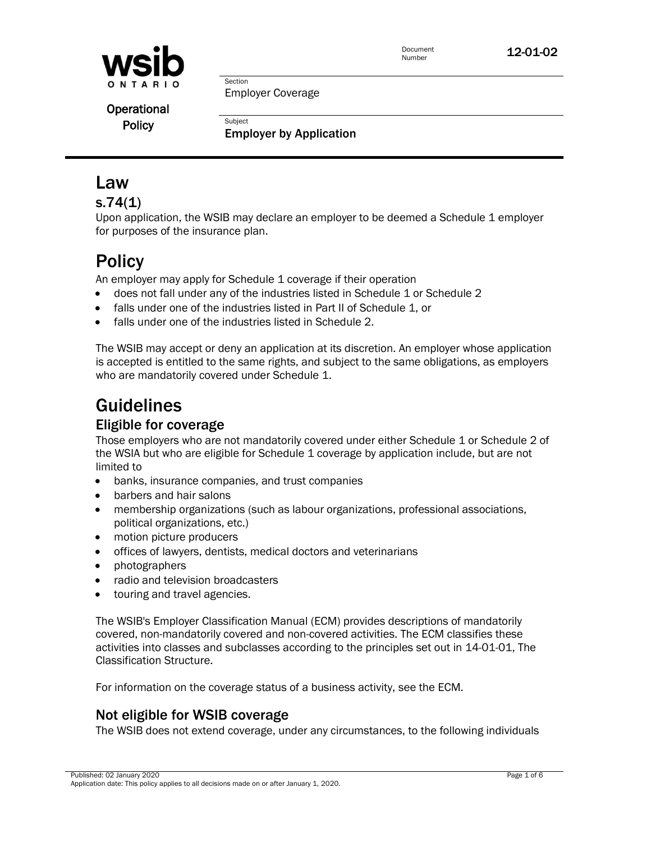

Document **12-01-02**<br>Number

Operational **Policy** 

Employer Coverage

Section

**Subject** Employer by Application

# Law

# s.74(1)

Upon application, the WSIB may declare an employer to be deemed a Schedule 1 employer for purposes of the insurance plan.

# **Policy**

An employer may apply for Schedule 1 coverage if their operation

- does not fall under any of the industries listed in Schedule 1 or Schedule 2
- falls under one of the industries listed in Part II of Schedule 1, or
- falls under one of the industries listed in Schedule 2.

The WSIB may accept or deny an application at its discretion. An employer whose application is accepted is entitled to the same rights, and subject to the same obligations, as employers who are mandatorily covered under Schedule 1.

# Guidelines

# Eligible for coverage

Those employers who are not mandatorily covered under either Schedule 1 or Schedule 2 of the WSIA but who are eligible for Schedule 1 coverage by application include, but are not limited to

- banks, insurance companies, and trust companies
- barbers and hair salons
- membership organizations (such as labour organizations, professional associations, political organizations, etc.)
- motion picture producers
- offices of lawyers, dentists, medical doctors and veterinarians
- photographers
- radio and television broadcasters
- **•** touring and travel agencies.

The WSIB's Employer Classification Manual (ECM) provides descriptions of mandatorily covered, non-mandatorily covered and non-covered activities. The ECM classifies these activities into classes and subclasses according to the principles set out in 14-01-01, The Classification Structure.

For information on the coverage status of a business activity, see the ECM.

# Not eligible for WSIB coverage

The WSIB does not extend coverage, under any circumstances, to the following individuals

Published: 02 January 2020 Page 1 of 6 Application date: This policy applies to all decisions made on or after January 1, 2020.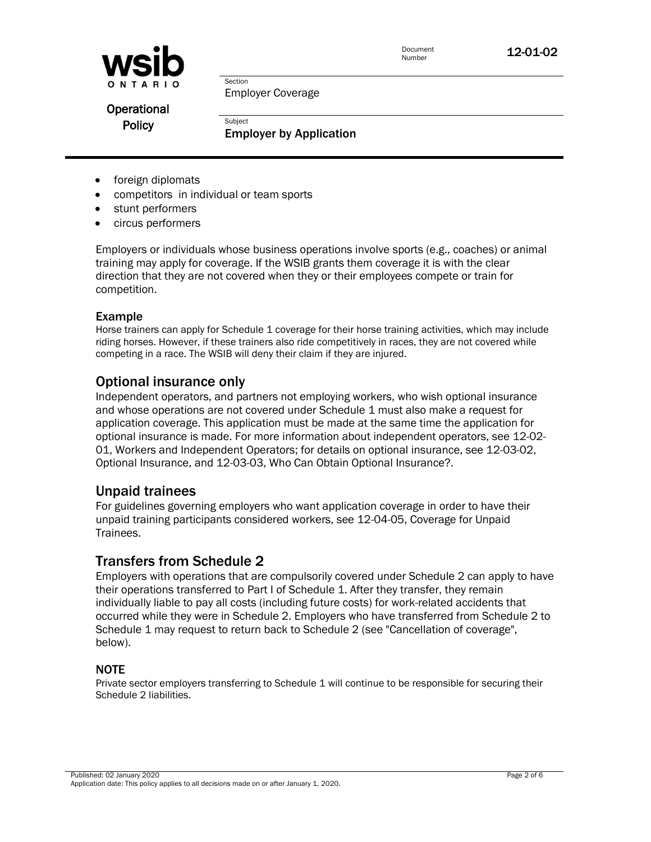

Document **12-01-02**<br>Number

Employer Coverage

Section

**Subject** 

Operational **Policy** 

Employer by Application

- foreign diplomats
- competitors in individual or team sports
- stunt performers
- circus performers

Employers or individuals whose business operations involve sports (e.g., coaches) or animal training may apply for coverage. If the WSIB grants them coverage it is with the clear direction that they are not covered when they or their employees compete or train for competition.

#### Example

Horse trainers can apply for Schedule 1 coverage for their horse training activities, which may include riding horses. However, if these trainers also ride competitively in races, they are not covered while competing in a race. The WSIB will deny their claim if they are injured.

#### Optional insurance only

Independent operators, and partners not employing workers, who wish optional insurance and whose operations are not covered under Schedule 1 must also make a request for application coverage. This application must be made at the same time the application for optional insurance is made. For more information about independent operators, see [12-02-](http://www.wsib.on.ca/WSIBPortal/faces/WSIBManualPage?cGUID=12-02-01&rDef=WSIB_RD_OPM&fGUID=835502100635000483) [01, Workers and Independent Operators;](http://www.wsib.on.ca/WSIBPortal/faces/WSIBManualPage?cGUID=12-02-01&rDef=WSIB_RD_OPM&fGUID=835502100635000483) for details on optional insurance, see [12-03-02,](http://www.wsib.on.ca/WSIBPortal/faces/WSIBManualPage?cGUID=12-03-02&rDef=WSIB_RD_OPM&fGUID=835502100635000484)  [Optional Insurance,](http://www.wsib.on.ca/WSIBPortal/faces/WSIBManualPage?cGUID=12-03-02&rDef=WSIB_RD_OPM&fGUID=835502100635000484) and [12-03-03, Who Can Obtain Optional Insurance?.](http://www.wsib.on.ca/WSIBPortal/faces/WSIBManualPage?cGUID=12-03-03&rDef=WSIB_RD_OPM&fGUID=835502100635000484)

#### Unpaid trainees

For guidelines governing employers who want application coverage in order to have their unpaid training participants considered workers, see [12-04-05, Coverage for Unpaid](http://www.wsib.on.ca/WSIBPortal/faces/WSIBManualPage?cGUID=12-04-05&rDef=WSIB_RD_OPM&fGUID=835502100635000485)  [Trainees.](http://www.wsib.on.ca/WSIBPortal/faces/WSIBManualPage?cGUID=12-04-05&rDef=WSIB_RD_OPM&fGUID=835502100635000485)

#### Transfers from Schedule 2

Employers with operations that are compulsorily covered under Schedule 2 can apply to have their operations transferred to Part I of Schedule 1. After they transfer, they remain individually liable to pay all costs (including future costs) for work-related accidents that occurred while they were in Schedule 2. Employers who have transferred from Schedule 2 to Schedule 1 may request to return back to Schedule 2 (see "Cancellation of coverage", below).

#### NOTE

Private sector employers transferring to Schedule 1 will continue to be responsible for securing their Schedule 2 liabilities.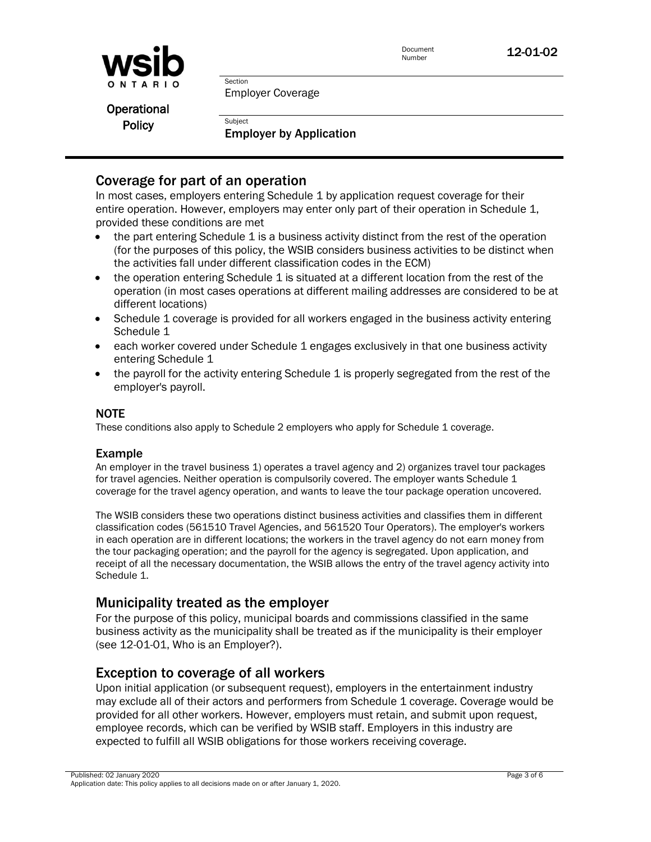



Employer Coverage

Section

**Subject** 

Operational **Policy** 

Employer by Application

# Coverage for part of an operation

In most cases, employers entering Schedule 1 by application request coverage for their entire operation. However, employers may enter only part of their operation in Schedule 1, provided these conditions are met

- the part entering Schedule 1 is a business activity distinct from the rest of the operation (for the purposes of this policy, the WSIB considers business activities to be distinct when the activities fall under different classification codes in the ECM)
- the operation entering Schedule 1 is situated at a different location from the rest of the operation (in most cases operations at different mailing addresses are considered to be at different locations)
- Schedule 1 coverage is provided for all workers engaged in the business activity entering Schedule 1
- each worker covered under Schedule 1 engages exclusively in that one business activity entering Schedule 1
- $\bullet$  the payroll for the activity entering Schedule 1 is properly segregated from the rest of the employer's payroll.

#### NOTE

These conditions also apply to Schedule 2 employers who apply for Schedule 1 coverage.

#### Example

An employer in the travel business 1) operates a travel agency and 2) organizes travel tour packages for travel agencies. Neither operation is compulsorily covered. The employer wants Schedule 1 coverage for the travel agency operation, and wants to leave the tour package operation uncovered.

The WSIB considers these two operations distinct business activities and classifies them in different classification codes (561510 Travel Agencies, and 561520 Tour Operators). The employer's workers in each operation are in different locations; the workers in the travel agency do not earn money from the tour packaging operation; and the payroll for the agency is segregated. Upon application, and receipt of all the necessary documentation, the WSIB allows the entry of the travel agency activity into Schedule 1.

# Municipality treated as the employer

For the purpose of this policy, municipal boards and commissions classified in the same business activity as the municipality shall be treated as if the municipality is their employer (see [12-01-01, Who is an Employer?\)](http://www.wsib.on.ca/WSIBPortal/faces/WSIBManualPage?cGUID=12-01-01&rDef=WSIB_RD_OPM&fGUID=835502100635000482).

## Exception to coverage of all workers

Upon initial application (or subsequent request), employers in the entertainment industry may exclude all of their actors and performers from Schedule 1 coverage. Coverage would be provided for all other workers. However, employers must retain, and submit upon request, employee records, which can be verified by WSIB staff. Employers in this industry are expected to fulfill all WSIB obligations for those workers receiving coverage.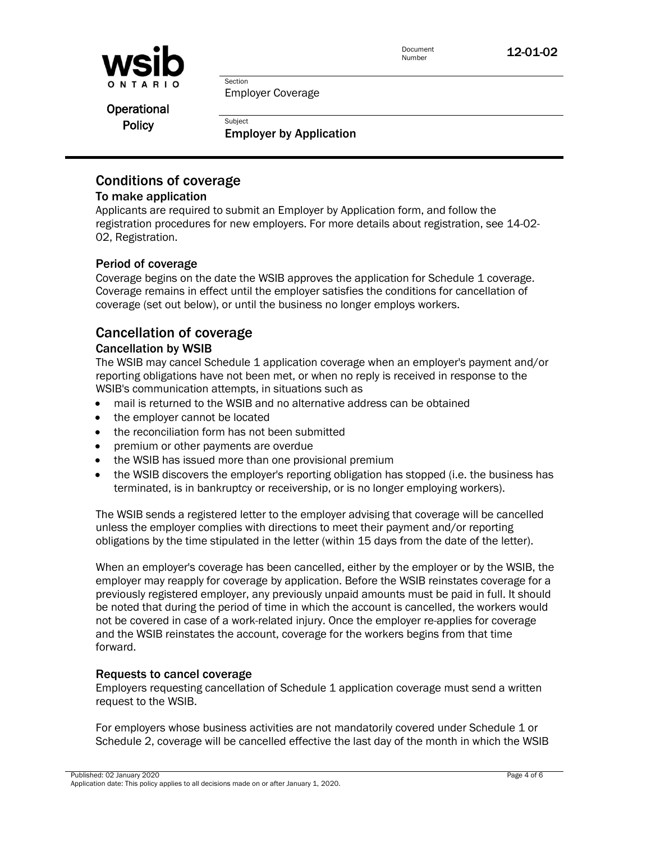

Document **12-01-02**<br>Number

Employer Coverage

Section

**Subject** 

Operational **Policy** 

Employer by Application

# Conditions of coverage

#### To make application

Applicants are required to submit an Employer by Application form, and follow the registration procedures for new employers. For more details about registration, see [14-02-](http://www.wsib.on.ca/WSIBPortal/faces/WSIBManualPage?cGUID=14-02-02&rDef=WSIB_RD_OPM&fGUID=835502100635000491) [02, Registration.](http://www.wsib.on.ca/WSIBPortal/faces/WSIBManualPage?cGUID=14-02-02&rDef=WSIB_RD_OPM&fGUID=835502100635000491)

#### Period of coverage

Coverage begins on the date the WSIB approves the application for Schedule 1 coverage. Coverage remains in effect until the employer satisfies the conditions for cancellation of coverage (set out below), or until the business no longer employs workers.

# Cancellation of coverage

#### Cancellation by WSIB

The WSIB may cancel Schedule 1 application coverage when an employer's payment and/or reporting obligations have not been met, or when no reply is received in response to the WSIB's communication attempts, in situations such as

- mail is returned to the WSIB and no alternative address can be obtained
- the employer cannot be located
- the reconciliation form has not been submitted
- premium or other payments are overdue
- the WSIB has issued more than one provisional premium
- the WSIB discovers the employer's reporting obligation has stopped (i.e. the business has terminated, is in bankruptcy or receivership, or is no longer employing workers).

The WSIB sends a registered letter to the employer advising that coverage will be cancelled unless the employer complies with directions to meet their payment and/or reporting obligations by the time stipulated in the letter (within 15 days from the date of the letter).

When an employer's coverage has been cancelled, either by the employer or by the WSIB, the employer may reapply for coverage by application. Before the WSIB reinstates coverage for a previously registered employer, any previously unpaid amounts must be paid in full. It should be noted that during the period of time in which the account is cancelled, the workers would not be covered in case of a work-related injury. Once the employer re-applies for coverage and the WSIB reinstates the account, coverage for the workers begins from that time forward.

#### Requests to cancel coverage

Employers requesting cancellation of Schedule 1 application coverage must send a written request to the WSIB.

For employers whose business activities are not mandatorily covered under Schedule 1 or Schedule 2, coverage will be cancelled effective the last day of the month in which the WSIB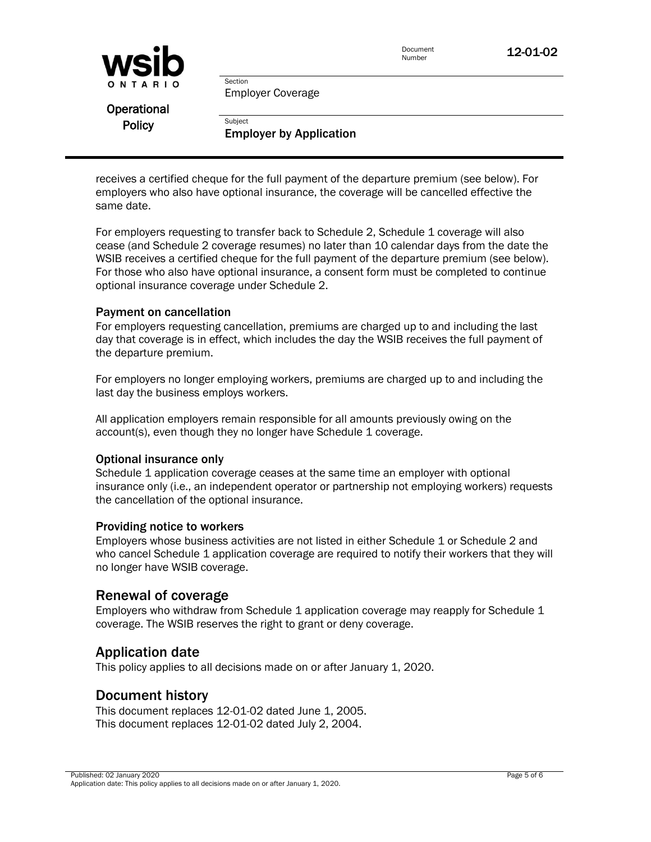

Document **12-01-02**<br>Number

Employer Coverage

Section

**Subject** 

Operational **Policy** 

Employer by Application

receives a certified cheque for the full payment of the departure premium (see below). For employers who also have optional insurance, the coverage will be cancelled effective the same date.

For employers requesting to transfer back to Schedule 2, Schedule 1 coverage will also cease (and Schedule 2 coverage resumes) no later than 10 calendar days from the date the WSIB receives a certified cheque for the full payment of the departure premium (see below). For those who also have optional insurance, a consent form must be completed to continue optional insurance coverage under Schedule 2.

#### Payment on cancellation

For employers requesting cancellation, premiums are charged up to and including the last day that coverage is in effect, which includes the day the WSIB receives the full payment of the departure premium.

For employers no longer employing workers, premiums are charged up to and including the last day the business employs workers.

All application employers remain responsible for all amounts previously owing on the account(s), even though they no longer have Schedule 1 coverage.

#### Optional insurance only

Schedule 1 application coverage ceases at the same time an employer with optional insurance only (i.e., an independent operator or partnership not employing workers) requests the cancellation of the optional insurance.

#### Providing notice to workers

Employers whose business activities are not listed in either Schedule 1 or Schedule 2 and who cancel Schedule 1 application coverage are required to notify their workers that they will no longer have WSIB coverage.

## Renewal of coverage

Employers who withdraw from Schedule 1 application coverage may reapply for Schedule 1 coverage. The WSIB reserves the right to grant or deny coverage.

## Application date

This policy applies to all decisions made on or after January 1, 2020.

## Document history

This document replaces 12-01-02 dated June 1, 2005. This document replaces 12-01-02 dated July 2, 2004.